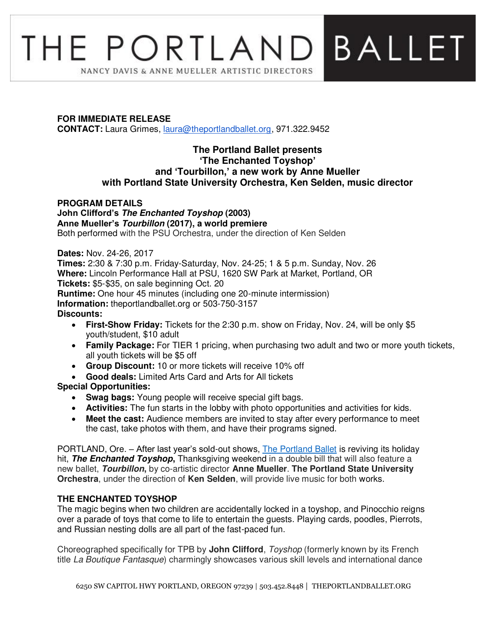# **BALLET** THE PORTLANDI NANCY DAVIS & ANNE MUELLER ARTISTIC DIRECTORS

# **FOR IMMEDIATE RELEASE**

**CONTACT:** Laura Grimes, [laura@theportlandballet.org,](mailto:laura@theportlandballet.org) 971.322.9452

# **The Portland Ballet presents 'The Enchanted Toyshop' and 'Tourbillon,' a new work by Anne Mueller with Portland State University Orchestra, Ken Selden, music director**

# **PROGRAM DETAILS John Clifford's The Enchanted Toyshop (2003) Anne Mueller's Tourbillon (2017), a world premiere**

Both performed with the PSU Orchestra, under the direction of Ken Selden

# **Dates:** Nov. 24-26, 2017

**Times:** 2:30 & 7:30 p.m. Friday-Saturday, Nov. 24-25; 1 & 5 p.m. Sunday, Nov. 26 **Where:** Lincoln Performance Hall at PSU, 1620 SW Park at Market, Portland, OR **Tickets:** \$5-\$35, on sale beginning Oct. 20

**Runtime:** One hour 45 minutes (including one 20-minute intermission)

**Information:** theportlandballet.org or 503-750-3157

# **Discounts:**

- **First-Show Friday:** Tickets for the 2:30 p.m. show on Friday, Nov. 24, will be only \$5 youth/student, \$10 adult
- **Family Package:** For TIER 1 pricing, when purchasing two adult and two or more youth tickets, all youth tickets will be \$5 off
- **Group Discount:** 10 or more tickets will receive 10% off
- **Good deals:** Limited Arts Card and Arts for All tickets

# **Special Opportunities:**

- **Swag bags:** Young people will receive special gift bags.
- **Activities:** The fun starts in the lobby with photo opportunities and activities for kids.
- **Meet the cast:** Audience members are invited to stay after every performance to meet the cast, take photos with them, and have their programs signed.

PORTLAND, Ore. – After last year's sold-out shows, [The Portland Ballet](https://theportlandballet.org/) is reviving its holiday hit, **The Enchanted Toyshop,** Thanksgiving weekend in a double bill that will also feature a new ballet, **Tourbillon,** by co-artistic director **Anne Mueller**. **The Portland State University Orchestra**, under the direction of **Ken Selden**, will provide live music for both works.

# **THE ENCHANTED TOYSHOP**

The magic begins when two children are accidentally locked in a toyshop, and Pinocchio reigns over a parade of toys that come to life to entertain the guests. Playing cards, poodles, Pierrots, and Russian nesting dolls are all part of the fast-paced fun.

Choreographed specifically for TPB by **John Clifford**, Toyshop (formerly known by its French title La Boutique Fantasque) charmingly showcases various skill levels and international dance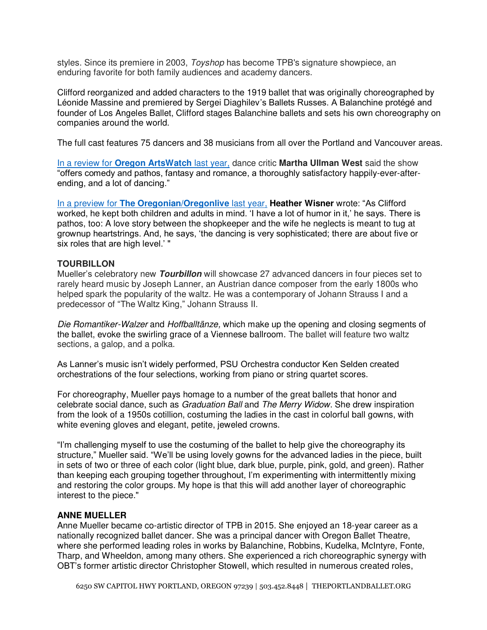styles. Since its premiere in 2003, *Toyshop* has become TPB's signature showpiece, an enduring favorite for both family audiences and academy dancers.

Clifford reorganized and added characters to the 1919 ballet that was originally choreographed by Léonide Massine and premiered by Sergei Diaghilev's Ballets Russes. A Balanchine protégé and founder of Los Angeles Ballet, Clifford stages Balanchine ballets and sets his own choreography on companies around the world.

The full cast features 75 dancers and 38 musicians from all over the Portland and Vancouver areas.

In a review for **[Oregon ArtsWatch](http://www.orartswatch.org/enchanted-toyshop-all-gift-boxed/)** last year, dance critic **Martha Ullman West** said the show "offers comedy and pathos, fantasy and romance, a thoroughly satisfactory happily-ever-afterending, and a lot of dancing."

In a preview for **[The Oregonian/Oregonlive](http://www.oregonlive.com/art/index.ssf/2016/11/the_portland_ballet_holiday_sh.html)** last year, **Heather Wisner** wrote: "As Clifford worked, he kept both children and adults in mind. 'I have a lot of humor in it,' he says. There is pathos, too: A love story between the shopkeeper and the wife he neglects is meant to tug at grownup heartstrings. And, he says, 'the dancing is very sophisticated; there are about five or six roles that are high level.' "

#### **TOURBILLON**

Mueller's celebratory new **Tourbillon** will showcase 27 advanced dancers in four pieces set to rarely heard music by Joseph Lanner, an Austrian dance composer from the early 1800s who helped spark the popularity of the waltz. He was a contemporary of Johann Strauss I and a predecessor of "The Waltz King," Johann Strauss II.

Die Romantiker-Walzer and Hoffballtänze, which make up the opening and closing segments of the ballet, evoke the swirling grace of a Viennese ballroom. The ballet will feature two waltz sections, a galop, and a polka.

As Lanner's music isn't widely performed, PSU Orchestra conductor Ken Selden created orchestrations of the four selections, working from piano or string quartet scores.

For choreography, Mueller pays homage to a number of the great ballets that honor and celebrate social dance, such as *Graduation Ball* and *The Merry Widow*. She drew inspiration from the look of a 1950s cotillion, costuming the ladies in the cast in colorful ball gowns, with white evening gloves and elegant, petite, jeweled crowns.

"I'm challenging myself to use the costuming of the ballet to help give the choreography its structure," Mueller said. "We'll be using lovely gowns for the advanced ladies in the piece, built in sets of two or three of each color (light blue, dark blue, purple, pink, gold, and green). Rather than keeping each grouping together throughout, I'm experimenting with intermittently mixing and restoring the color groups. My hope is that this will add another layer of choreographic interest to the piece."

#### **ANNE MUELLER**

Anne Mueller became co-artistic director of TPB in 2015. She enjoyed an 18-year career as a nationally recognized ballet dancer. She was a principal dancer with Oregon Ballet Theatre, where she performed leading roles in works by Balanchine, Robbins, Kudelka, McIntyre, Fonte, Tharp, and Wheeldon, among many others. She experienced a rich choreographic synergy with OBT's former artistic director Christopher Stowell, which resulted in numerous created roles,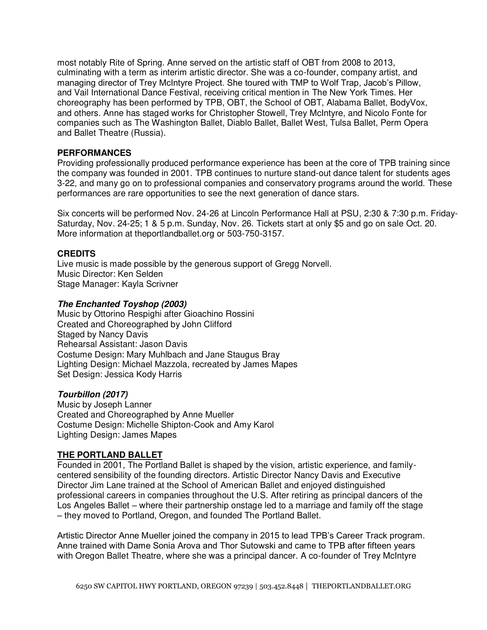most notably Rite of Spring. Anne served on the artistic staff of OBT from 2008 to 2013, culminating with a term as interim artistic director. She was a co-founder, company artist, and managing director of Trey McIntyre Project. She toured with TMP to Wolf Trap, Jacob's Pillow, and Vail International Dance Festival, receiving critical mention in The New York Times. Her choreography has been performed by TPB, OBT, the School of OBT, Alabama Ballet, BodyVox, and others. Anne has staged works for Christopher Stowell, Trey McIntyre, and Nicolo Fonte for companies such as The Washington Ballet, Diablo Ballet, Ballet West, Tulsa Ballet, Perm Opera and Ballet Theatre (Russia).

#### **PERFORMANCES**

Providing professionally produced performance experience has been at the core of TPB training since the company was founded in 2001. TPB continues to nurture stand-out dance talent for students ages 3-22, and many go on to professional companies and conservatory programs around the world. These performances are rare opportunities to see the next generation of dance stars.

Six concerts will be performed Nov. 24-26 at Lincoln Performance Hall at PSU, 2:30 & 7:30 p.m. Friday-Saturday, Nov. 24-25; 1 & 5 p.m. Sunday, Nov. 26. Tickets start at only \$5 and go on sale Oct. 20. More information at theportlandballet.org or 503-750-3157.

# **CREDITS**

Live music is made possible by the generous support of Gregg Norvell. Music Director: Ken Selden Stage Manager: Kayla Scrivner

#### **The Enchanted Toyshop (2003)**

Music by Ottorino Respighi after Gioachino Rossini Created and Choreographed by John Clifford Staged by Nancy Davis Rehearsal Assistant: Jason Davis Costume Design: Mary Muhlbach and Jane Staugus Bray Lighting Design: Michael Mazzola, recreated by James Mapes Set Design: Jessica Kody Harris

#### **Tourbillon (2017)**

Music by Joseph Lanner Created and Choreographed by Anne Mueller Costume Design: Michelle Shipton-Cook and Amy Karol Lighting Design: James Mapes

# **THE PORTLAND BALLET**

Founded in 2001, The Portland Ballet is shaped by the vision, artistic experience, and familycentered sensibility of the founding directors. Artistic Director Nancy Davis and Executive Director Jim Lane trained at the School of American Ballet and enjoyed distinguished professional careers in companies throughout the U.S. After retiring as principal dancers of the Los Angeles Ballet – where their partnership onstage led to a marriage and family off the stage – they moved to Portland, Oregon, and founded The Portland Ballet.

Artistic Director Anne Mueller joined the company in 2015 to lead TPB's Career Track program. Anne trained with Dame Sonia Arova and Thor Sutowski and came to TPB after fifteen years with Oregon Ballet Theatre, where she was a principal dancer. A co-founder of Trey McIntyre